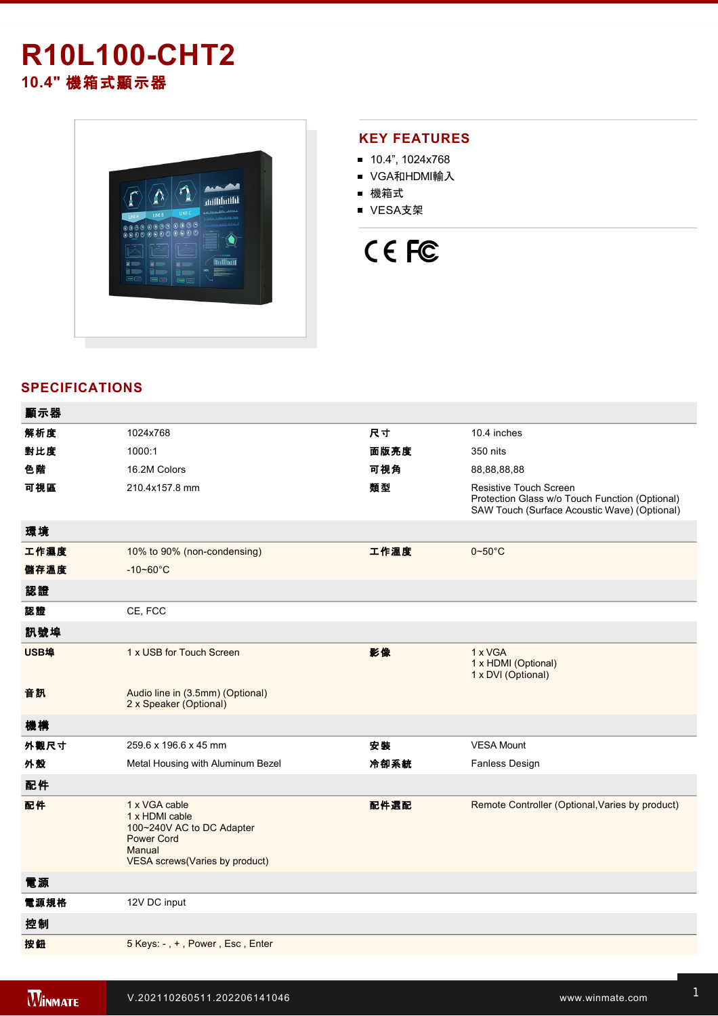## **R10L100-CHT2 10.4"** 機箱式顯示器



#### **KEY FEATURES**

- $10.4$ ", 1024x768
- VGA和HDMI輸入
- 機箱式
- VESA支架

# CE FC

### **SPECIFICATIONS**

| 顯示器  |                                                                                                                               |      |                                                                                                                                 |
|------|-------------------------------------------------------------------------------------------------------------------------------|------|---------------------------------------------------------------------------------------------------------------------------------|
| 解析度  | 1024x768                                                                                                                      | 尺寸   | 10.4 inches                                                                                                                     |
| 對比度  | 1000:1                                                                                                                        | 面版亮度 | 350 nits                                                                                                                        |
| 色階   | 16.2M Colors                                                                                                                  | 可視角  | 88,88,88,88                                                                                                                     |
| 可視區  | 210.4x157.8 mm                                                                                                                | 類型   | <b>Resistive Touch Screen</b><br>Protection Glass w/o Touch Function (Optional)<br>SAW Touch (Surface Acoustic Wave) (Optional) |
| 環境   |                                                                                                                               |      |                                                                                                                                 |
| 工作濕度 | 10% to 90% (non-condensing)                                                                                                   | 工作溫度 | $0 - 50$ °C                                                                                                                     |
| 儲存溫度 | $-10 - 60^{\circ}C$                                                                                                           |      |                                                                                                                                 |
| 認證   |                                                                                                                               |      |                                                                                                                                 |
| 認證   | CE, FCC                                                                                                                       |      |                                                                                                                                 |
| 訊號埠  |                                                                                                                               |      |                                                                                                                                 |
| USB埠 | 1 x USB for Touch Screen                                                                                                      | 影像   | 1 x VGA<br>1 x HDMI (Optional)<br>1 x DVI (Optional)                                                                            |
| 音訊   | Audio line in (3.5mm) (Optional)<br>2 x Speaker (Optional)                                                                    |      |                                                                                                                                 |
| 機構   |                                                                                                                               |      |                                                                                                                                 |
| 外觀尺寸 | 259.6 x 196.6 x 45 mm                                                                                                         | 安裝   | <b>VESA Mount</b>                                                                                                               |
| 外殼   | Metal Housing with Aluminum Bezel                                                                                             | 冷卻系統 | Fanless Design                                                                                                                  |
| 配件   |                                                                                                                               |      |                                                                                                                                 |
| 配件   | 1 x VGA cable<br>1 x HDMI cable<br>100~240V AC to DC Adapter<br><b>Power Cord</b><br>Manual<br>VESA screws(Varies by product) | 配件選配 | Remote Controller (Optional, Varies by product)                                                                                 |
| 電源   |                                                                                                                               |      |                                                                                                                                 |
| 電源規格 | 12V DC input                                                                                                                  |      |                                                                                                                                 |
| 控制   |                                                                                                                               |      |                                                                                                                                 |
| 按鈕   | 5 Keys: -, +, Power, Esc, Enter                                                                                               |      |                                                                                                                                 |